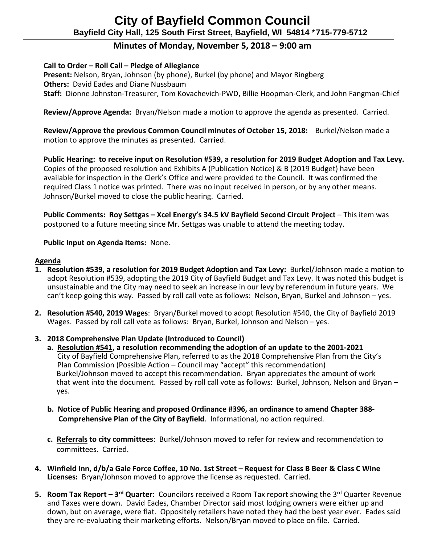# **City of Bayfield Common Council Bayfield City Hall, 125 South First Street, Bayfield, WI 54814 \*715-779-5712**

# **Minutes of Monday, November 5, 2018 – 9:00 am**

## **Call to Order – Roll Call – Pledge of Allegiance**

**Present:** Nelson, Bryan, Johnson (by phone), Burkel (by phone) and Mayor Ringberg **Others:** David Eades and Diane Nussbaum **Staff:** Dionne Johnston-Treasurer, Tom Kovachevich-PWD, Billie Hoopman-Clerk, and John Fangman-Chief

**Review/Approve Agenda:** Bryan/Nelson made a motion to approve the agenda as presented. Carried.

**Review/Approve the previous Common Council minutes of October 15, 2018:** Burkel/Nelson made a motion to approve the minutes as presented. Carried.

**Public Hearing: to receive input on Resolution #539, a resolution for 2019 Budget Adoption and Tax Levy.**  Copies of the proposed resolution and Exhibits A (Publication Notice) & B (2019 Budget) have been available for inspection in the Clerk's Office and were provided to the Council. It was confirmed the required Class 1 notice was printed. There was no input received in person, or by any other means. Johnson/Burkel moved to close the public hearing. Carried.

**Public Comments: Roy Settgas – Xcel Energy's 34.5 kV Bayfield Second Circuit Project** – This item was postponed to a future meeting since Mr. Settgas was unable to attend the meeting today.

#### **Public Input on Agenda Items:** None.

#### **Agenda**

- **1. Resolution #539, a resolution for 2019 Budget Adoption and Tax Levy:** Burkel/Johnson made a motion to adopt Resolution #539, adopting the 2019 City of Bayfield Budget and Tax Levy. It was noted this budget is unsustainable and the City may need to seek an increase in our levy by referendum in future years. We can't keep going this way. Passed by roll call vote as follows: Nelson, Bryan, Burkel and Johnson – yes.
- **2. Resolution #540, 2019 Wages**: Bryan/Burkel moved to adopt Resolution #540, the City of Bayfield 2019 Wages. Passed by roll call vote as follows: Bryan, Burkel, Johnson and Nelson – yes.
- **3. 2018 Comprehensive Plan Update (Introduced to Council)**
	- **a. Resolution #541, a resolution recommending the adoption of an update to the 2001-2021** City of Bayfield Comprehensive Plan, referred to as the 2018 Comprehensive Plan from the City's Plan Commission (Possible Action – Council may "accept" this recommendation) Burkel/Johnson moved to accept this recommendation. Bryan appreciates the amount of work that went into the document. Passed by roll call vote as follows: Burkel, Johnson, Nelson and Bryan – yes.
	- **b. Notice of Public Hearing and proposed Ordinance #396, an ordinance to amend Chapter 388- Comprehensive Plan of the City of Bayfield**. Informational, no action required.
	- **c. Referrals to city committees**: Burkel/Johnson moved to refer for review and recommendation to committees. Carried.
- **4. Winfield Inn, d/b/a Gale Force Coffee, 10 No. 1st Street – Request for Class B Beer & Class C Wine Licenses:** Bryan/Johnson moved to approve the license as requested. Carried.
- **5. Room Tax Report 3<sup>rd</sup> Quarter:** Councilors received a Room Tax report showing the 3<sup>rd</sup> Quarter Revenue and Taxes were down. David Eades, Chamber Director said most lodging owners were either up and down, but on average, were flat. Oppositely retailers have noted they had the best year ever. Eades said they are re-evaluating their marketing efforts. Nelson/Bryan moved to place on file. Carried.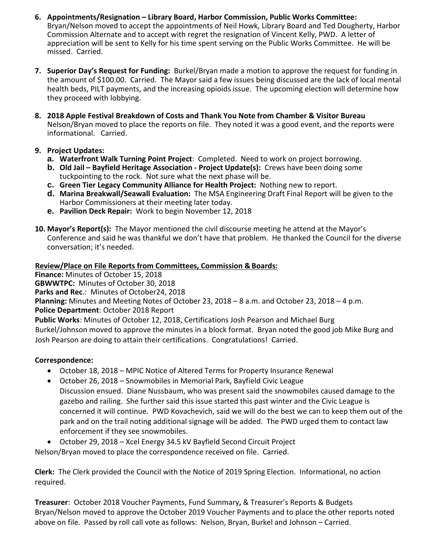- **6. Appointments/Resignation – Library Board, Harbor Commission, Public Works Committee:**  Bryan/Nelson moved to accept the appointments of Neil Howk, Library Board and Ted Dougherty, Harbor Commission Alternate and to accept with regret the resignation of Vincent Kelly, PWD. A letter of appreciation will be sent to Kelly for his time spent serving on the Public Works Committee. He will be missed. Carried.
- **7. Superior Day's Request for Funding:** Burkel/Bryan made a motion to approve the request for funding in the amount of \$100.00. Carried. The Mayor said a few issues being discussed are the lack of local mental health beds, PILT payments, and the increasing opioids issue. The upcoming election will determine how they proceed with lobbying.
- **8. 2018 Apple Festival Breakdown of Costs and Thank You Note from Chamber & Visitor Bureau** Nelson/Bryan moved to place the reports on file. They noted it was a good event, and the reports were informational. Carried.

## **9. Project Updates:**

- **a. Waterfront Walk Turning Point Project**: Completed. Need to work on project borrowing.
- **b. Old Jail – Bayfield Heritage Association - Project Update(s):** Crews have been doing some tuckpointing to the rock. Not sure what the next phase will be.
- **c. Green Tier Legacy Community Alliance for Health Project:** Nothing new to report.
- **d. Marina Breakwall/Seawall Evaluation:** The MSA Engineering Draft Final Report will be given to the Harbor Commissioners at their meeting later today.
- **e. Pavilion Deck Repair:** Work to begin November 12, 2018
- **10. Mayor's Report(s):** The Mayor mentioned the civil discourse meeting he attend at the Mayor's Conference and said he was thankful we don't have that problem. He thanked the Council for the diverse conversation; it's needed.

## **Review/Place on File Reports from Committees, Commission & Boards:**

**Finance:** Minutes of October 15, 2018

**GBWWTPC:** Minutes of October 30, 2018

**Parks and Rec**.: Minutes of October24, 2018

**Planning:** Minutes and Meeting Notes of October 23, 2018 – 8 a.m. and October 23, 2018 – 4 p.m.

**Police Department**: October 2018 Report

**Public Works**: Minutes of October 12, 2018, Certifications Josh Pearson and Michael Burg Burkel/Johnson moved to approve the minutes in a block format. Bryan noted the good job Mike Burg and Josh Pearson are doing to attain their certifications. Congratulations! Carried.

## **Correspondence:**

- October 18, 2018 MPIC Notice of Altered Terms for Property Insurance Renewal
- October 26, 2018 Snowmobiles in Memorial Park, Bayfield Civic League Discussion ensued. Diane Nussbaum, who was present said the snowmobiles caused damage to the gazebo and railing. She further said this issue started this past winter and the Civic League is concerned it will continue. PWD Kovachevich, said we will do the best we can to keep them out of the park and on the trail noting additional signage will be added. The PWD urged them to contact law enforcement if they see snowmobiles.

• October 29, 2018 – Xcel Energy 34.5 kV Bayfield Second Circuit Project

Nelson/Bryan moved to place the correspondence received on file. Carried.

**Clerk:** The Clerk provided the Council with the Notice of 2019 Spring Election. Informational, no action required.

**Treasurer**: October 2018 Voucher Payments, Fund Summary**,** & Treasurer's Reports & Budgets Bryan/Nelson moved to approve the October 2019 Voucher Payments and to place the other reports noted above on file. Passed by roll call vote as follows: Nelson, Bryan, Burkel and Johnson – Carried.